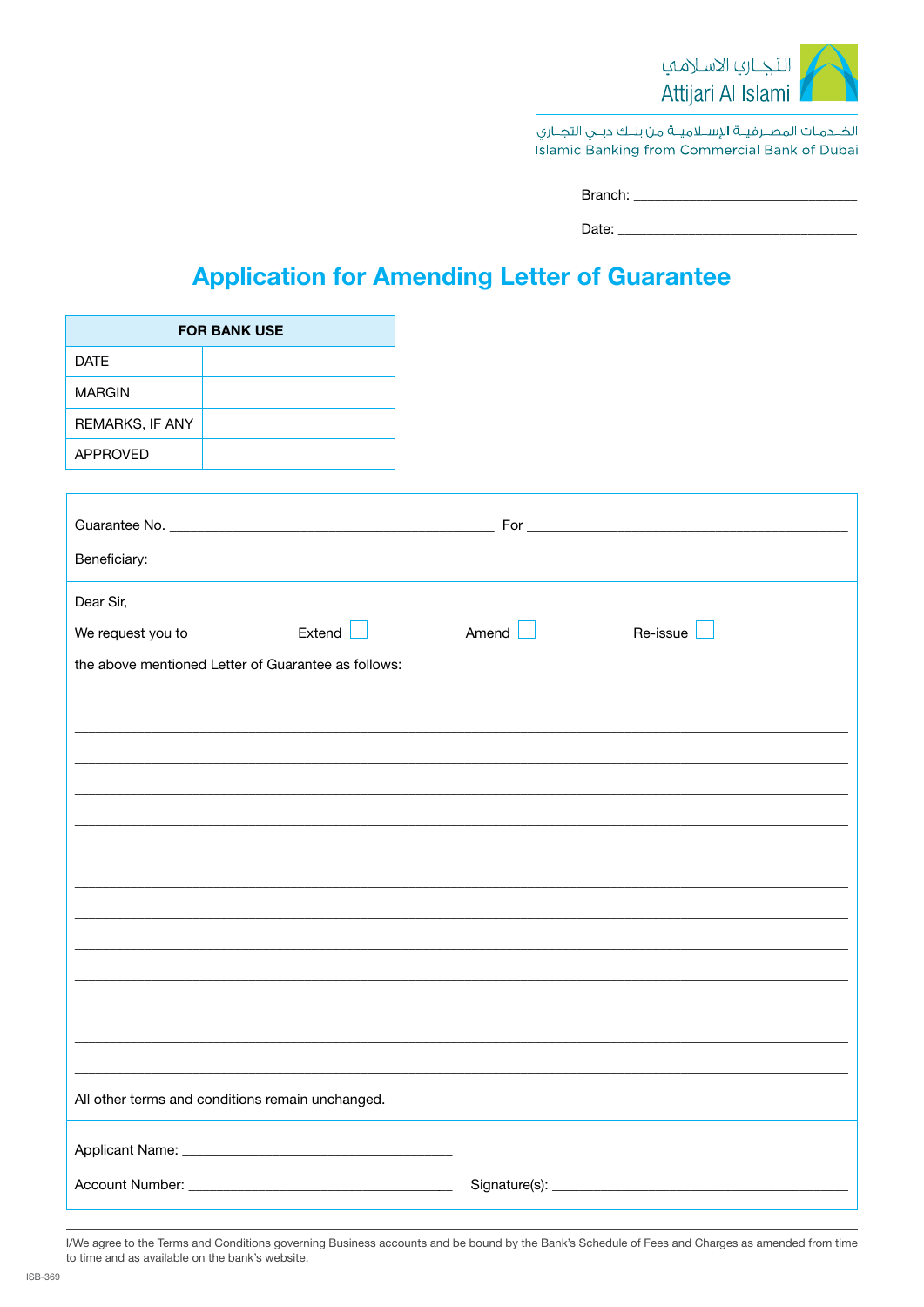

الخــدمـات المصــرفيــة الإســلاميــة من بنــك دبــي التجــاري Islamic Banking from Commercial Bank of Dubai

| Rranch <sup>.</sup> |  |
|---------------------|--|
|                     |  |

Date:

## **Application for Amending Letter of Guarantee**

|                   | <b>FOR BANK USE</b>                                 |       |
|-------------------|-----------------------------------------------------|-------|
| <b>DATE</b>       |                                                     |       |
| <b>MARGIN</b>     |                                                     |       |
| REMARKS, IF ANY   |                                                     |       |
| <b>APPROVED</b>   |                                                     |       |
|                   |                                                     |       |
|                   |                                                     |       |
|                   |                                                     |       |
|                   |                                                     |       |
| Dear Sir,         |                                                     |       |
| We request you to | Extend                                              | Amend |
|                   | the above mentioned Letter of Guarantee as follows: |       |
|                   |                                                     |       |
|                   |                                                     |       |
|                   |                                                     |       |
|                   |                                                     |       |
|                   |                                                     |       |
|                   |                                                     |       |
|                   |                                                     |       |
|                   |                                                     |       |
|                   |                                                     |       |
|                   |                                                     |       |
|                   |                                                     |       |
|                   |                                                     |       |
|                   |                                                     |       |
|                   | All other terms and conditions remain unchanged.    |       |
|                   |                                                     |       |
|                   |                                                     |       |
|                   |                                                     |       |

I/We agree to the Terms and Conditions governing Business accounts and be bound by the Bank's Schedule of Fees and Charges as amended from time to time and as available on the bank's website.